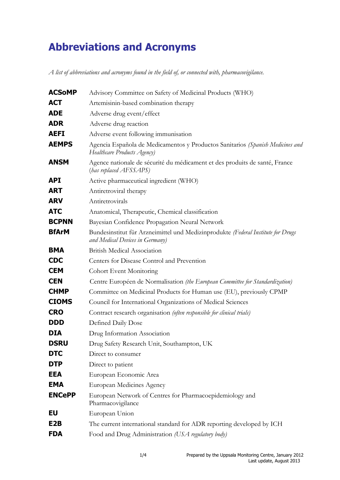## **Abbreviations and Acronyms**

*A list of abbreviations and acronyms found in the field of, or connected with, pharmacovigilance.*

| <b>ACSoMP</b>    | Advisory Committee on Safety of Medicinal Products (WHO)                                                            |
|------------------|---------------------------------------------------------------------------------------------------------------------|
| <b>ACT</b>       | Artemisinin-based combination therapy                                                                               |
| <b>ADE</b>       | Adverse drug event/effect                                                                                           |
| <b>ADR</b>       | Adverse drug reaction                                                                                               |
| <b>AEFI</b>      | Adverse event following immunisation                                                                                |
| <b>AEMPS</b>     | Agencia Española de Medicamentos y Productos Sanitarios (Spanish Medicines and<br>Healthcare Products Agency)       |
| <b>ANSM</b>      | Agence nationale de sécurité du médicament et des produits de santé, France<br>(has replaced AFSSAPS)               |
| <b>API</b>       | Active pharmaceutical ingredient (WHO)                                                                              |
| <b>ART</b>       | Antiretroviral therapy                                                                                              |
| <b>ARV</b>       | Antiretrovirals                                                                                                     |
| <b>ATC</b>       | Anatomical, Therapeutic, Chemical classification                                                                    |
| <b>BCPNN</b>     | Bayesian Confidence Propagation Neural Network                                                                      |
| <b>BfArM</b>     | Bundesinstitut für Arzneimittel und Medizinprodukte (Federal Institute for Drugs<br>and Medical Devices in Germany) |
| <b>BMA</b>       | <b>British Medical Association</b>                                                                                  |
| <b>CDC</b>       | Centers for Disease Control and Prevention                                                                          |
| <b>CEM</b>       | <b>Cohort Event Monitoring</b>                                                                                      |
| <b>CEN</b>       | Centre Européen de Normalisation (the European Committee for Standardization)                                       |
| <b>CHMP</b>      | Committee on Medicinal Products for Human use (EU), previously CPMP                                                 |
| <b>CIOMS</b>     | Council for International Organizations of Medical Sciences                                                         |
| <b>CRO</b>       | Contract research organisation (often responsible for clinical trials)                                              |
| <b>DDD</b>       | Defined Daily Dose                                                                                                  |
| <b>DIA</b>       | Drug Information Association                                                                                        |
| <b>DSRU</b>      | Drug Safety Research Unit, Southampton, UK                                                                          |
| <b>DTC</b>       | Direct to consumer                                                                                                  |
| <b>DTP</b>       | Direct to patient                                                                                                   |
| EEA              | European Economic Area                                                                                              |
| <b>EMA</b>       | European Medicines Agency                                                                                           |
| <b>ENCePP</b>    | European Network of Centres for Pharmacoepidemiology and<br>Pharmacovigilance                                       |
| EU               | European Union                                                                                                      |
| E <sub>2</sub> B | The current international standard for ADR reporting developed by ICH                                               |
| <b>FDA</b>       | Food and Drug Administration (USA regulatory body)                                                                  |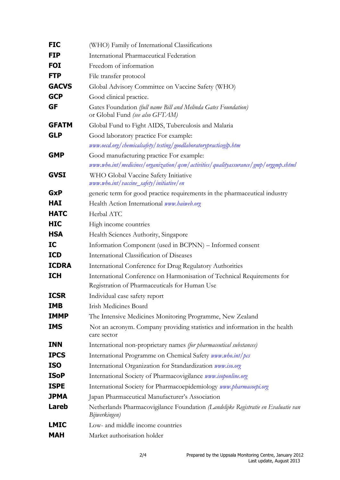| <b>FIC</b>   | (WHO) Family of International Classifications                                                                            |
|--------------|--------------------------------------------------------------------------------------------------------------------------|
| <b>FIP</b>   | <b>International Pharmaceutical Federation</b>                                                                           |
| <b>FOI</b>   | Freedom of information                                                                                                   |
| <b>FTP</b>   | File transfer protocol                                                                                                   |
| <b>GACVS</b> | Global Advisory Committee on Vaccine Safety (WHO)                                                                        |
| <b>GCP</b>   | Good clinical practice.                                                                                                  |
| GF           | Gates Foundation (full name Bill and Melinda Gates Foundation)<br>or Global Fund (see also GFTAM)                        |
| <b>GFATM</b> | Global Fund to Fight AIDS, Tuberculosis and Malaria                                                                      |
| <b>GLP</b>   | Good laboratory practice For example:<br>www.oecd.org/chemicalsafety/testing/goodlaboratorypracticeglp.htm               |
| <b>GMP</b>   | Good manufacturing practice For example:                                                                                 |
|              | www.who.int/medicines/organization/qsm/activities/qualityassurance/gmp/orggmp.shtml                                      |
| <b>GVSI</b>  | WHO Global Vaccine Safety Initiative<br>www.who.int/vaccine_safety/initiative/en                                         |
| <b>GxP</b>   | generic term for good practice requirements in the pharmaceutical industry                                               |
| <b>HAI</b>   | Health Action International www.haiweb.org                                                                               |
| <b>HATC</b>  | Herbal ATC                                                                                                               |
| <b>HIC</b>   | High income countries                                                                                                    |
| <b>HSA</b>   | Health Sciences Authority, Singapore                                                                                     |
| IC           | Information Component (used in BCPNN) - Informed consent                                                                 |
| <b>ICD</b>   | International Classification of Diseases                                                                                 |
| <b>ICDRA</b> | International Conference for Drug Regulatory Authorities                                                                 |
| <b>ICH</b>   | International Conference on Harmonisation of Technical Requirements for<br>Registration of Pharmaceuticals for Human Use |
| <b>ICSR</b>  | Individual case safety report                                                                                            |
| <b>IMB</b>   | <b>Irish Medicines Board</b>                                                                                             |
| <b>IMMP</b>  | The Intensive Medicines Monitoring Programme, New Zealand                                                                |
| <b>IMS</b>   | Not an acronym. Company providing statistics and information in the health<br>care sector                                |
| <b>INN</b>   | International non-proprietary names (for pharmaceutical substances)                                                      |
| <b>IPCS</b>  | International Programme on Chemical Safety www.who.int/pcs                                                               |
| <b>ISO</b>   | International Organization for Standardization www.iso.org                                                               |
| <b>ISoP</b>  | International Society of Pharmacovigilance <i>www.isoponline.org</i>                                                     |
| <b>ISPE</b>  | International Society for Pharmacoepidemiology www.pharmacoepi.org                                                       |
| <b>JPMA</b>  | Japan Pharmaceutical Manufacturer's Association                                                                          |
| <b>Lareb</b> | Netherlands Pharmacovigilance Foundation (Landelijke Registratie en Evaluatie van<br>Bijwerkingen)                       |
| <b>LMIC</b>  | Low- and middle income countries                                                                                         |
| <b>MAH</b>   | Market authorisation holder                                                                                              |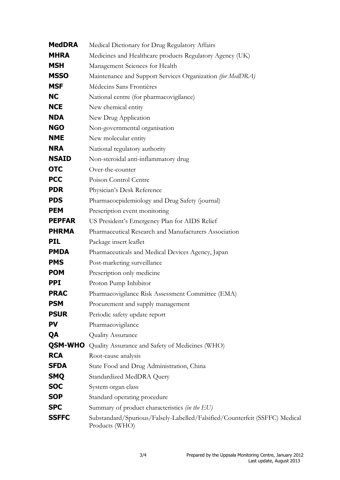| <b>MedDRA</b>  | Medical Dictionary for Drug Regulatory Affairs                                                |
|----------------|-----------------------------------------------------------------------------------------------|
| <b>MHRA</b>    | Medicines and Healthcare products Regulatory Agency (UK)                                      |
| <b>MSH</b>     | Management Sciences for Health                                                                |
| <b>MSSO</b>    | Maintenance and Support Services Organization (for MedDRA)                                    |
| <b>MSF</b>     | Médecins Sans Frontières                                                                      |
| <b>NC</b>      | National centre (for pharmacovigilance)                                                       |
| <b>NCE</b>     | New chemical entity                                                                           |
| <b>NDA</b>     | New Drug Application                                                                          |
| <b>NGO</b>     | Non-governmental organisation                                                                 |
| <b>NME</b>     | New molecular entity                                                                          |
| <b>NRA</b>     | National regulatory authority                                                                 |
| <b>NSAID</b>   | Non-steroidal anti-inflammatory drug                                                          |
| <b>OTC</b>     | Over-the-counter                                                                              |
| <b>PCC</b>     | Poison Control Centre                                                                         |
| <b>PDR</b>     | Physician's Desk Reference                                                                    |
| <b>PDS</b>     | Pharmacoepidemiology and Drug Safety (journal)                                                |
| <b>PEM</b>     | Prescription event monitoring                                                                 |
| <b>PEPFAR</b>  | US President's Emergency Plan for AIDS Relief                                                 |
| <b>PHRMA</b>   | Pharmaceutical Research and Manufacturers Association                                         |
| <b>PIL</b>     | Package insert leaflet                                                                        |
| <b>PMDA</b>    | Pharmaceuticals and Medical Devices Agency, Japan                                             |
| <b>PMS</b>     | Post-marketing surveillance                                                                   |
| <b>POM</b>     | Prescription only medicine                                                                    |
| <b>PPI</b>     | Proton Pump Inhibitor                                                                         |
| <b>PRAC</b>    | Pharmacovigilance Risk Assessment Committee (EMA)                                             |
| <b>PSM</b>     | Procurement and supply management                                                             |
| <b>PSUR</b>    | Periodic safety update report                                                                 |
| <b>PV</b>      | Pharmacovigilance                                                                             |
| QA             | <b>Quality Assurance</b>                                                                      |
| <b>QSM-WHO</b> | Quality Assurance and Safety of Medicines (WHO)                                               |
| <b>RCA</b>     | Root-cause analysis                                                                           |
| <b>SFDA</b>    | State Food and Drug Administration, China                                                     |
| <b>SMQ</b>     | Standardized MedDRA Query                                                                     |
| <b>SOC</b>     | System organ class                                                                            |
| <b>SOP</b>     | Standard operating procedure                                                                  |
| <b>SPC</b>     | Summary of product characteristics (in the EU)                                                |
| <b>SSFFC</b>   | Substandard/Spurious/Falsely-Labelled/Falsified/Counterfeit (SSFFC) Medical<br>Products (WHO) |